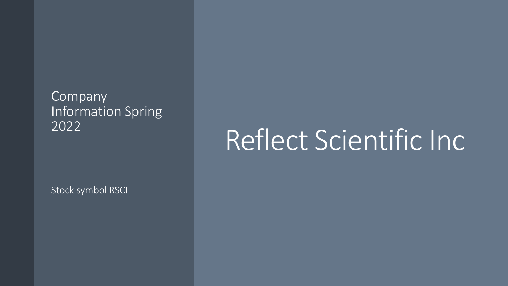#### Company Information Spring 2022

### Reflect Scientific Inc

Stock symbol RSCF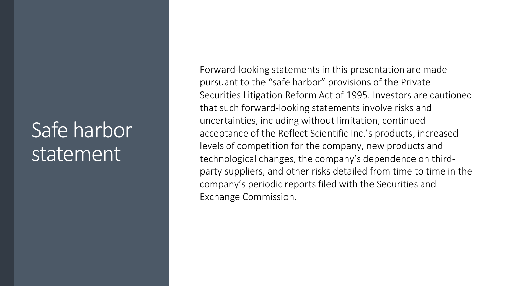#### Safe harbor statement

Forward-looking statements in this presentation are made pursuant to the "safe harbor" provisions of the Private Securities Litigation Reform Act of 1995. Investors are cautioned that such forward-looking statements involve risks and uncertainties, including without limitation, continued acceptance of the Reflect Scientific Inc.'s products, increased levels of competition for the company, new products and technological changes, the company's dependence on thirdparty suppliers, and other risks detailed from time to time in the company's periodic reports filed with the Securities and Exchange Commission.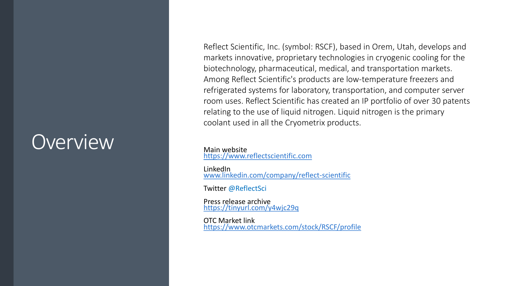#### **Overview**

Reflect Scientific, Inc. (symbol: RSCF), based in Orem, Utah, develops and markets innovative, proprietary technologies in cryogenic cooling for the biotechnology, pharmaceutical, medical, and transportation markets. Among Reflect Scientific's products are low-temperature freezers and refrigerated systems for laboratory, transportation, and computer server room uses. Reflect Scientific has created an IP portfolio of over 30 patents relating to the use of liquid nitrogen. Liquid nitrogen is the primary coolant used in all the Cryometrix products.

Main website [https://www.reflectscientific.com](https://www.reflectscientific.com/)

LinkedIn [www.linkedin.com/company/reflect-scientific](http://www.linkedin.com/company/reflect-scientific)

Twitter @ReflectSci

Press release archive <https://tinyurl.com/y4wjc29q>

OTC Market link <https://www.otcmarkets.com/stock/RSCF/profile>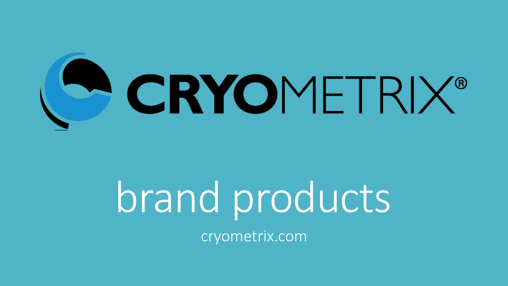

# brand products

cryometrix.com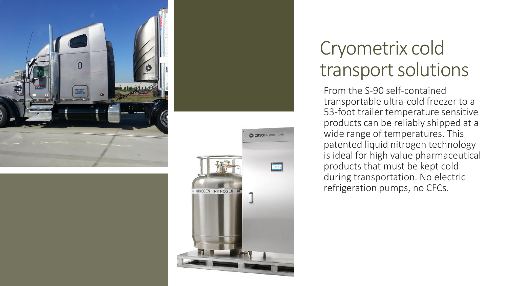



#### Cryometrix cold transport solutions

From the S-90 self-contained transportable ultra-cold freezer to a 53-foot trailer temperature sensitive products can be reliably shipped at a wide range of temperatures. This patented liquid nitrogen technology is ideal for high value pharmaceutical products that must be kept cold during transportation. No electric refrigeration pumps, no CFCs.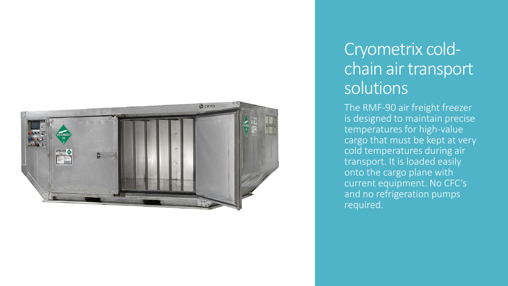

#### Cryometrix coldchain air transport solutions

The RMF-90 air freight freezer is designed to maintain precise temperatures for high-value cargo that must be kept at very cold temperatures during air transport. It is loaded easily onto the cargo plane with current equipment. No CFC's and no refrigeration pumps required.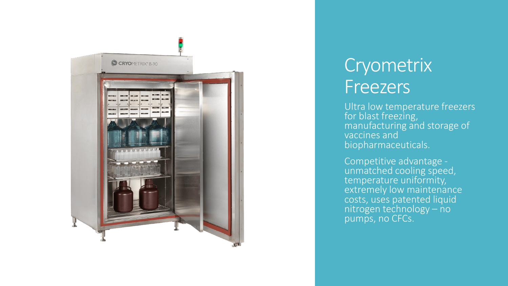

#### Cryometrix Freezers

Ultra low temperature freezers for blast freezing, manufacturing and storage of vaccines and biopharmaceuticals.

Competitive advantage unmatched cooling speed, temperature uniformity, extremely low maintenance costs, uses patented liquid nitrogen technology – no pumps, no CFCs.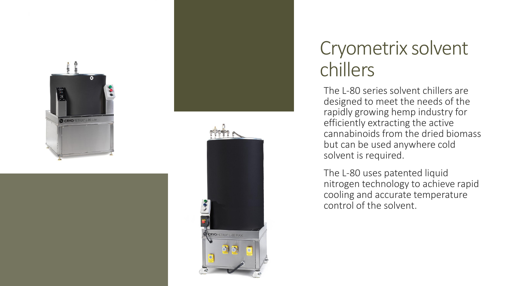



#### Cryometrix solvent chillers

The L-80 series solvent chillers are designed to meet the needs of the rapidly growing hemp industry for efficiently extracting the active cannabinoids from the dried biomass but can be used anywhere cold solvent is required.

The L-80 uses patented liquid nitrogen technology to achieve rapid cooling and accurate temperature control of the solvent.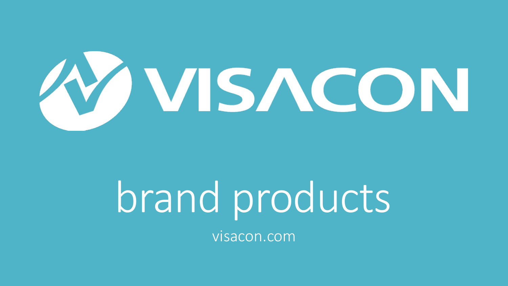

# brand products

visacon.com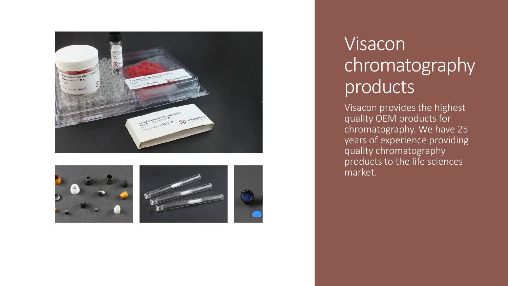



#### Visacon chromatography products

Visacon provides the highest quality OEM products for chromatography. We have 25 years of experience providing quality chromatography products to the life sciences market.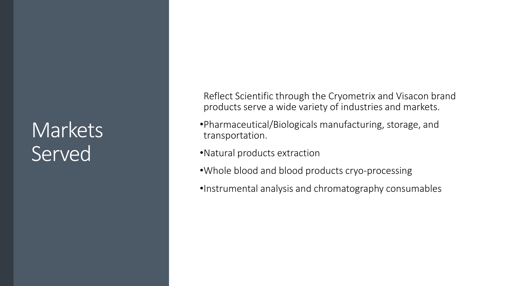#### **Markets** Served

Reflect Scientific through the Cryometrix and Visacon brand products serve a wide variety of industries and markets.

- •Pharmaceutical/Biologicals manufacturing, storage, and transportation.
- •Natural products extraction
- •Whole blood and blood products cryo-processing
- •Instrumental analysis and chromatography consumables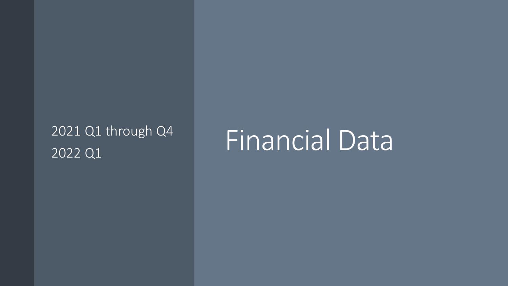# 2022 Q1

## 2021 Q1 through Q4 Financial Data